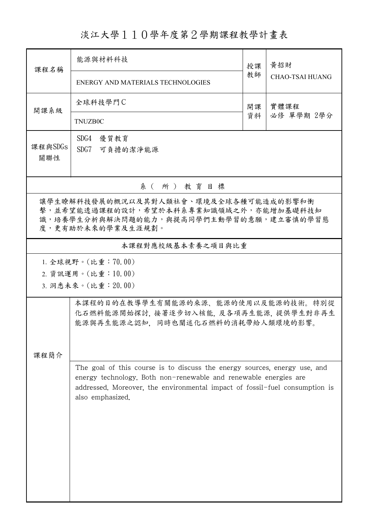## 淡江大學110學年度第2學期課程教學計畫表

|         | 能源與材料科技                                                                                         |          | 黄招財                    |  |  |  |
|---------|-------------------------------------------------------------------------------------------------|----------|------------------------|--|--|--|
| 課程名稱    |                                                                                                 |          |                        |  |  |  |
|         | ENERGY AND MATERIALS TECHNOLOGIES                                                               | 教師       | <b>CHAO-TSAI HUANG</b> |  |  |  |
| 開課系級    | 全球科技學門C                                                                                         | 開課<br>資料 | 實體課程                   |  |  |  |
|         | <b>TNUZB0C</b>                                                                                  |          | 必修 單學期 2學分             |  |  |  |
| 課程與SDGs | SDG4<br>優質教育                                                                                    |          |                        |  |  |  |
| 關聯性     | SDG7<br>可負擔的潔淨能源                                                                                |          |                        |  |  |  |
|         | 系(所)教育目標                                                                                        |          |                        |  |  |  |
|         |                                                                                                 |          |                        |  |  |  |
|         | 讓學生瞭解科技發展的概況以及其對人類社會、環境及全球各種可能造成的影響和衝<br>擊,並希望能透過課程的設計,希望於本科系專業知識領域之外,亦能增加基礎科技知                 |          |                        |  |  |  |
|         | 識,培養學生分析與解決問題的能力,與提高同學們主動學習的意願,建立審慎的學習態<br>度,更有助於未來的學業及生涯規劃。                                    |          |                        |  |  |  |
|         |                                                                                                 |          |                        |  |  |  |
|         | 本課程對應校級基本素養之項目與比重                                                                               |          |                        |  |  |  |
|         | 1. 全球視野。(比重:70.00)                                                                              |          |                        |  |  |  |
|         | 2. 資訊運用。(比重:10.00)                                                                              |          |                        |  |  |  |
|         | 3. 洞悉未來。(比重: 20.00)                                                                             |          |                        |  |  |  |
|         | 本課程的目的在教導學生有關能源的來源、能源的使用以及能源的技術。特別從                                                             |          |                        |  |  |  |
|         | 化石燃料能源開始探討, 接著逐步切入核能, 及各項再生能源, 提供學生對非再生<br>能源與再生能源之認知,同時也闡述化石燃料的消耗帶給人類環境的影響。                    |          |                        |  |  |  |
|         |                                                                                                 |          |                        |  |  |  |
| 課程簡介    |                                                                                                 |          |                        |  |  |  |
|         | The goal of this course is to discuss the energy sources, energy use, and                       |          |                        |  |  |  |
|         | energy technology. Both non-renewable and renewable energies are                                |          |                        |  |  |  |
|         | addressed. Moreover, the environmental impact of fossil-fuel consumption is<br>also emphasized. |          |                        |  |  |  |
|         |                                                                                                 |          |                        |  |  |  |
|         |                                                                                                 |          |                        |  |  |  |
|         |                                                                                                 |          |                        |  |  |  |
|         |                                                                                                 |          |                        |  |  |  |
|         |                                                                                                 |          |                        |  |  |  |
|         |                                                                                                 |          |                        |  |  |  |
|         |                                                                                                 |          |                        |  |  |  |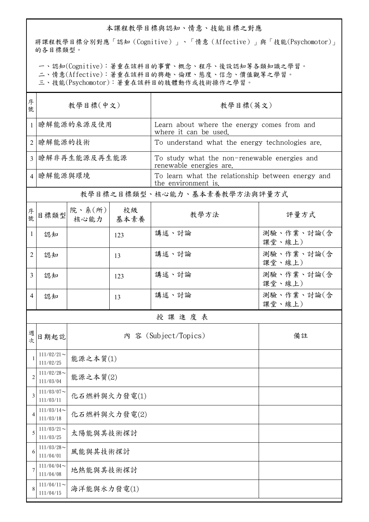## 本課程教學目標與認知、情意、技能目標之對應

將課程教學目標分別對應「認知(Cognitive)」、「情意(Affective)」與「技能(Psychomotor)」 的各目標類型。

一、認知(Cognitive):著重在該科目的事實、概念、程序、後設認知等各類知識之學習。

二、情意(Affective):著重在該科目的興趣、倫理、態度、信念、價值觀等之學習。

三、技能(Psychomotor):著重在該科目的肢體動作或技術操作之學習。

| 序<br>號         | 教學目標(中文)                   |                |            | 教學目標(英文)                                                                 |                      |  |  |  |
|----------------|----------------------------|----------------|------------|--------------------------------------------------------------------------|----------------------|--|--|--|
| 1              | 瞭解能源的來源及使用                 |                |            | Learn about where the energy comes from and<br>where it can be used.     |                      |  |  |  |
| $\overline{2}$ | 瞭解能源的技術                    |                |            | To understand what the energy technologies are.                          |                      |  |  |  |
| $\overline{3}$ | 瞭解非再生能源及再生能源               |                |            | To study what the non-renewable energies and<br>renewable energies are.  |                      |  |  |  |
|                | 4   瞭解能源與環境                |                |            | To learn what the relationship between energy and<br>the environment is. |                      |  |  |  |
|                |                            |                |            | 教學目標之目標類型、核心能力、基本素養教學方法與評量方式                                             |                      |  |  |  |
| 序號             | 目標類型                       | 院、系(所)<br>核心能力 | 校級<br>基本素養 | 教學方法                                                                     | 評量方式                 |  |  |  |
| 1              | 認知                         |                | 123        | 講述、討論                                                                    | 測驗、作業、討論(含<br>課堂、線上) |  |  |  |
| 2              | 認知                         |                | 13         | 講述、討論                                                                    | 測驗、作業、討論(含<br>課堂、線上) |  |  |  |
| 3              | 認知                         |                | 123        | 講述、討論                                                                    | 測驗、作業、討論(含<br>課堂、線上) |  |  |  |
| 4              | 認知                         |                | 13         | 講述、討論                                                                    | 測驗、作業、討論(含<br>課堂、線上) |  |  |  |
|                | 授課進度表                      |                |            |                                                                          |                      |  |  |  |
| 週次             | 日期起訖                       |                |            | 內 容 (Subject/Topics)                                                     | 備註                   |  |  |  |
|                | $111/02/21$ ~<br>111/02/25 | 能源之本質(1)       |            |                                                                          |                      |  |  |  |
| $\overline{2}$ | $111/02/28$ ~<br>111/03/04 | 能源之本質(2)       |            |                                                                          |                      |  |  |  |
| 3              | $111/03/07$ ~<br>111/03/11 | 化石燃料與火力發電(1)   |            |                                                                          |                      |  |  |  |
| 4              | $111/03/14$ ~<br>111/03/18 | 化石燃料與火力發電(2)   |            |                                                                          |                      |  |  |  |
| 5              | $111/03/21$ ~<br>111/03/25 | 太陽能與其技術探討      |            |                                                                          |                      |  |  |  |
| 6              | $111/03/28$ ~<br>111/04/01 | 風能與其技術探討       |            |                                                                          |                      |  |  |  |
| 7              | $111/04/04$ ~<br>111/04/08 | 地熱能與其技術探討      |            |                                                                          |                      |  |  |  |
|                | $111/04/11$ ~<br>111/04/15 | 海洋能與水力發電(1)    |            |                                                                          |                      |  |  |  |